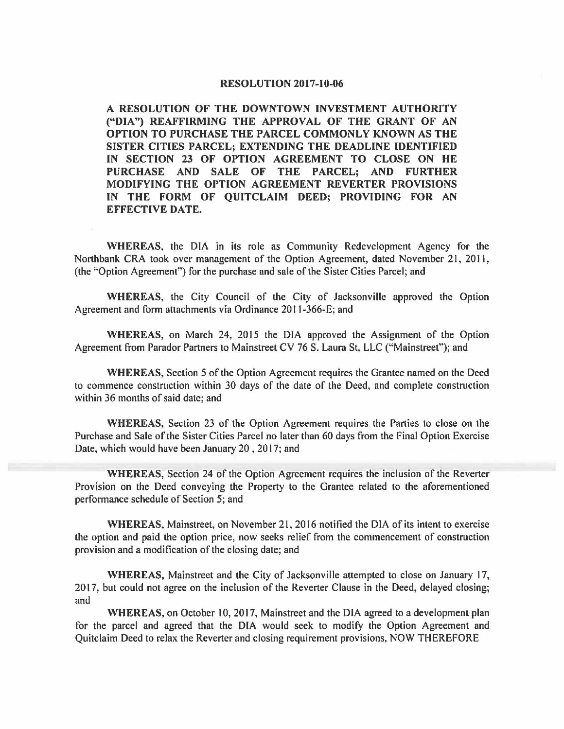#### **RESOLUTION 2017-10-06**

**A RESOLUTION OF THE DOWNTOWN INVESTMENT AUTHORITY ("DIA") REAFFIRMING THE APPROVAL OF THE GRANT OF AN OPTION TO PURCHASE THE PARCEL COMMONLY KNOWN AS THE SISTER CITIES PARCEL; EXTENDING THE DEADLINE IDENTIFIED IN SECTION 23 OF OPTION AGREEMENT TO CLOSE ON HE PURCHASE AND SALE OF THE PARCEL; AND FURTHER MODIFYING THE OPTION AGREEMENT REVERTER PROVISIONS IN THE FORM OF QUITCLAIM DEED; PROVIDING FOR AN EFFECTIVE DATE.** 

**WHEREAS,** the DIA in its role as Community Redevelopment Agency for the Northbank CRA took over management of the Option Agreement, dated November 21, 2011, (the "Option Agreement") for the purchase and sale of the Sister Cities Parcel; and

**WHEREAS,** the City Council of the City of Jacksonville approved the Option Agreement and form attachments via Ordinance 2011-366-E; and

**WHEREAS,** on March 24, 2015 the DIA approved the Assignment of the Option Agreement from Parador Partners to Mainstreet CV 76 S. Laura St, LLC ("Mainstreet"); and

**WHEREAS,** Section 5 of the Option Agreement requires the Grantee named on the Deed to commence construction within 30 days of the date of the Deed, and complete construction within 36 months of said date; and

**WHEREAS,** Section 23 of the Option Agreement requires the Parties to close on the Purchase and Sale of the Sister Cities Parcel no later than 60 days from the Final Option Exercise Date, which would have been January 20, 2017; and

**WHEREAS,** Section 24 of the Option Agreement requires the inclusion of the Reverter Provision on the Deed conveying the Property to the Grantee related to the aforementioned performance schedule of Section 5; and

**WHEREAS,** Mainstreet, on November 21, 2016 notified the DIA of its intent to exercise the option and paid the option price, now seeks relief from the commencement of construction provision and a modification of the closing date; and

**WHEREAS,** Mainstreet and the City of Jacksonville attempted to close on January 17, 2017, but could not agree on the inclusion of the Reverter Clause in the Deed, delayed closing; and

**WHEREAS,** on October 10, 2017, Mainstreet and the DIA agreed to a development plan for the parcel and agreed that the DIA would seek to modify the Option Agreement and Quitclaim Deed to relax the Reverter and closing requirement provisions, NOW THEREFORE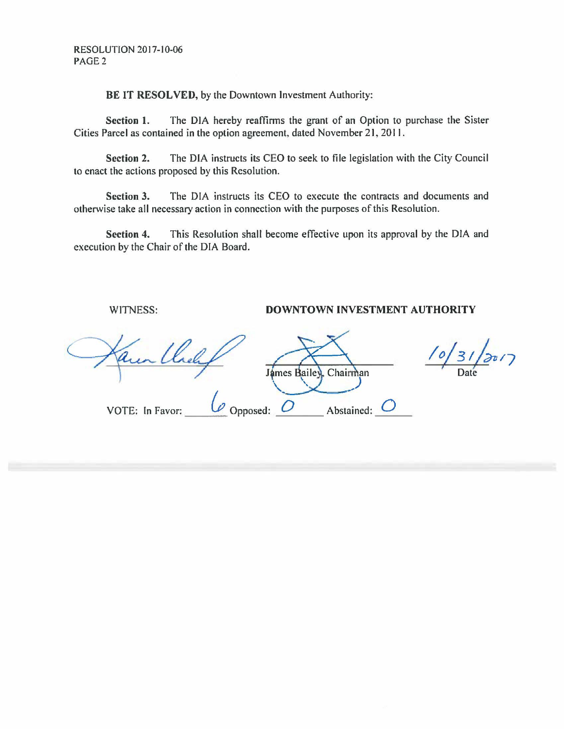**BE IT RESOLVED,** by the Downtown Investment Authority:

**Section 1.** The DIA hereby reaffirms the grant of an Option to purchase the Sister Cities Parcel as contained in the option agreement, dated November 21, 2011.

**Section 2.** The DIA instructs its CEO to seek to file legislation with the City Council to enact the actions proposed by this Resolution.

**Section 3.** The DIA instructs its CEO to execute the contracts and documents and otherwise take all necessary action in connection with the purposes of this Resolution.

**Section 4.** This Resolution shall become effective upon its approval by the DIA and execution by the Chair of the DIA Board.

WITNESS: **DOWNTOWN INVESTMENT AUTHORITY**  James Bailey, Chairman Abstained: VOTE: In Favor: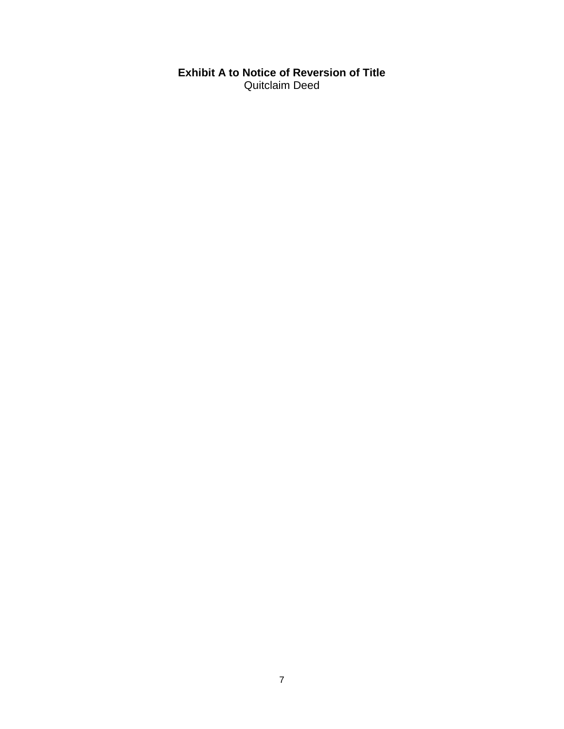# **Exhibit A to Notice of Reversion of Title** Quitclaim Deed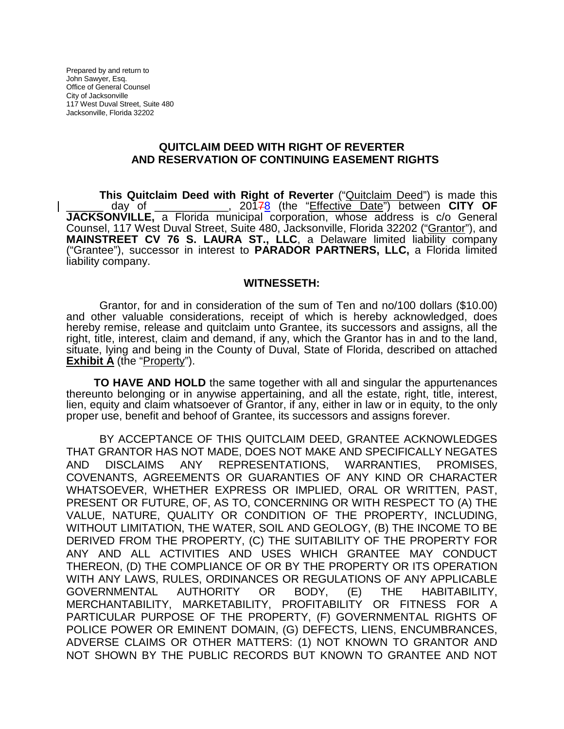Prepared by and return to John Sawyer, Esq. Office of General Counsel City of Jacksonville 117 West Duval Street, Suite 480 Jacksonville, Florida 32202

#### **QUITCLAIM DEED WITH RIGHT OF REVERTER AND RESERVATION OF CONTINUING EASEMENT RIGHTS**

**This Quitclaim Deed with Right of Reverter** ("*Quitclaim Deed*") is made this day of the strate at 20178 (the "Effective Date") between **CITY OF** \_\_\_\_\_\_ day of \_\_\_\_\_\_\_\_\_\_\_\_, 20178 (the "Effective Date") between **CITY OF JACKSONVILLE,** a Florida municipal corporation, whose address is c/o General Counsel, 117 West Duval Street, Suite 480, Jacksonville, Florida 32202 ("Grantor"), and **MAINSTREET CV 76 S. LAURA ST., LLC**, a Delaware limited liability company ("Grantee"), successor in interest to **PARADOR PARTNERS, LLC,** a Florida limited liability company.

#### **WITNESSETH:**

Grantor, for and in consideration of the sum of Ten and no/100 dollars (\$10.00) and other valuable considerations, receipt of which is hereby acknowledged, does hereby remise, release and quitclaim unto Grantee, its successors and assigns, all the right, title, interest, claim and demand, if any, which the Grantor has in and to the land, situate, lying and being in the County of Duval, State of Florida, described on attached **Exhibit A** (the "Property").

**TO HAVE AND HOLD** the same together with all and singular the appurtenances thereunto belonging or in anywise appertaining, and all the estate, right, title, interest, lien, equity and claim whatsoever of Grantor, if any, either in law or in equity, to the only proper use, benefit and behoof of Grantee, its successors and assigns forever.

BY ACCEPTANCE OF THIS QUITCLAIM DEED, GRANTEE ACKNOWLEDGES THAT GRANTOR HAS NOT MADE, DOES NOT MAKE AND SPECIFICALLY NEGATES AND DISCLAIMS ANY REPRESENTATIONS, WARRANTIES, PROMISES, COVENANTS, AGREEMENTS OR GUARANTIES OF ANY KIND OR CHARACTER WHATSOEVER, WHETHER EXPRESS OR IMPLIED, ORAL OR WRITTEN, PAST, PRESENT OR FUTURE, OF, AS TO, CONCERNING OR WITH RESPECT TO (A) THE VALUE, NATURE, QUALITY OR CONDITION OF THE PROPERTY, INCLUDING, WITHOUT LIMITATION, THE WATER, SOIL AND GEOLOGY, (B) THE INCOME TO BE DERIVED FROM THE PROPERTY, (C) THE SUITABILITY OF THE PROPERTY FOR ANY AND ALL ACTIVITIES AND USES WHICH GRANTEE MAY CONDUCT THEREON, (D) THE COMPLIANCE OF OR BY THE PROPERTY OR ITS OPERATION WITH ANY LAWS, RULES, ORDINANCES OR REGULATIONS OF ANY APPLICABLE GOVERNMENTAL AUTHORITY OR BODY, (E) THE HABITABILITY, MERCHANTABILITY, MARKETABILITY, PROFITABILITY OR FITNESS FOR A PARTICULAR PURPOSE OF THE PROPERTY, (F) GOVERNMENTAL RIGHTS OF POLICE POWER OR EMINENT DOMAIN, (G) DEFECTS, LIENS, ENCUMBRANCES, ADVERSE CLAIMS OR OTHER MATTERS: (1) NOT KNOWN TO GRANTOR AND NOT SHOWN BY THE PUBLIC RECORDS BUT KNOWN TO GRANTEE AND NOT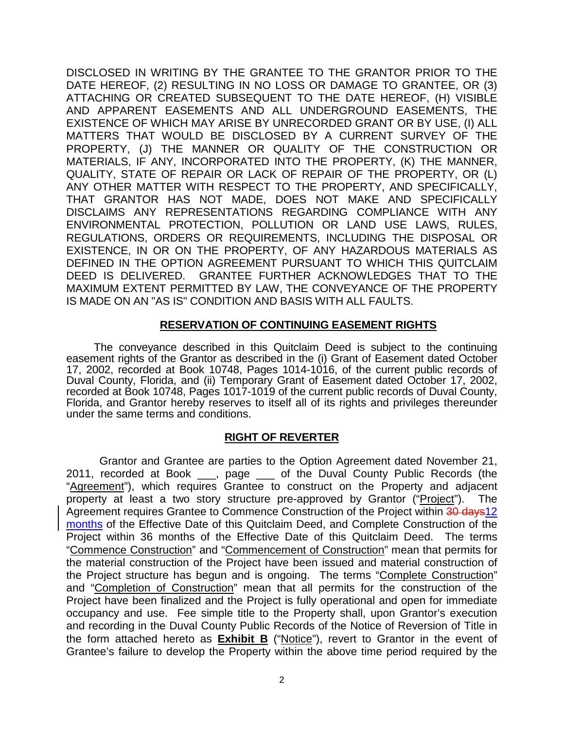DISCLOSED IN WRITING BY THE GRANTEE TO THE GRANTOR PRIOR TO THE DATE HEREOF, (2) RESULTING IN NO LOSS OR DAMAGE TO GRANTEE, OR (3) ATTACHING OR CREATED SUBSEQUENT TO THE DATE HEREOF, (H) VISIBLE AND APPARENT EASEMENTS AND ALL UNDERGROUND EASEMENTS, THE EXISTENCE OF WHICH MAY ARISE BY UNRECORDED GRANT OR BY USE, (I) ALL MATTERS THAT WOULD BE DISCLOSED BY A CURRENT SURVEY OF THE PROPERTY, (J) THE MANNER OR QUALITY OF THE CONSTRUCTION OR MATERIALS, IF ANY, INCORPORATED INTO THE PROPERTY, (K) THE MANNER, QUALITY, STATE OF REPAIR OR LACK OF REPAIR OF THE PROPERTY, OR (L) ANY OTHER MATTER WITH RESPECT TO THE PROPERTY, AND SPECIFICALLY, THAT GRANTOR HAS NOT MADE, DOES NOT MAKE AND SPECIFICALLY DISCLAIMS ANY REPRESENTATIONS REGARDING COMPLIANCE WITH ANY ENVIRONMENTAL PROTECTION, POLLUTION OR LAND USE LAWS, RULES, REGULATIONS, ORDERS OR REQUIREMENTS, INCLUDING THE DISPOSAL OR EXISTENCE, IN OR ON THE PROPERTY, OF ANY HAZARDOUS MATERIALS AS DEFINED IN THE OPTION AGREEMENT PURSUANT TO WHICH THIS QUITCLAIM DEED IS DELIVERED. GRANTEE FURTHER ACKNOWLEDGES THAT TO THE MAXIMUM EXTENT PERMITTED BY LAW, THE CONVEYANCE OF THE PROPERTY IS MADE ON AN "AS IS" CONDITION AND BASIS WITH ALL FAULTS.

## **RESERVATION OF CONTINUING EASEMENT RIGHTS**

The conveyance described in this Quitclaim Deed is subject to the continuing easement rights of the Grantor as described in the (i) Grant of Easement dated October 17, 2002, recorded at Book 10748, Pages 1014-1016, of the current public records of Duval County, Florida, and (ii) Temporary Grant of Easement dated October 17, 2002, recorded at Book 10748, Pages 1017-1019 of the current public records of Duval County, Florida, and Grantor hereby reserves to itself all of its rights and privileges thereunder under the same terms and conditions.

## **RIGHT OF REVERTER**

Grantor and Grantee are parties to the Option Agreement dated November 21, 2011, recorded at Book \_\_\_, page \_\_\_ of the Duval County Public Records (the "Agreement"), which requires Grantee to construct on the Property and adjacent property at least a two story structure pre-approved by Grantor ("Project"). The Agreement requires Grantee to Commence Construction of the Project within 30 days12 months of the Effective Date of this Quitclaim Deed, and Complete Construction of the Project within 36 months of the Effective Date of this Quitclaim Deed. The terms "Commence Construction" and "Commencement of Construction" mean that permits for the material construction of the Project have been issued and material construction of the Project structure has begun and is ongoing. The terms "Complete Construction" and "Completion of Construction" mean that all permits for the construction of the Project have been finalized and the Project is fully operational and open for immediate occupancy and use. Fee simple title to the Property shall, upon Grantor's execution and recording in the Duval County Public Records of the Notice of Reversion of Title in the form attached hereto as **Exhibit B** ("Notice"), revert to Grantor in the event of Grantee's failure to develop the Property within the above time period required by the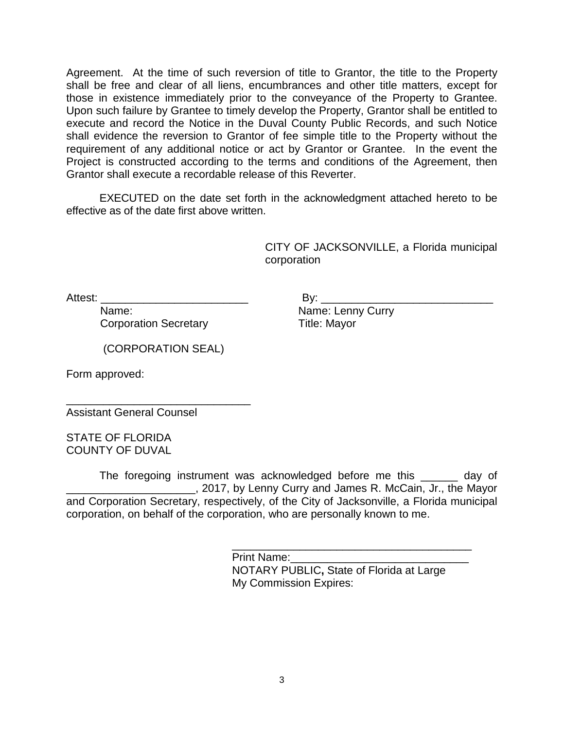Agreement. At the time of such reversion of title to Grantor, the title to the Property shall be free and clear of all liens, encumbrances and other title matters, except for those in existence immediately prior to the conveyance of the Property to Grantee. Upon such failure by Grantee to timely develop the Property, Grantor shall be entitled to execute and record the Notice in the Duval County Public Records, and such Notice shall evidence the reversion to Grantor of fee simple title to the Property without the requirement of any additional notice or act by Grantor or Grantee. In the event the Project is constructed according to the terms and conditions of the Agreement, then Grantor shall execute a recordable release of this Reverter.

EXECUTED on the date set forth in the acknowledgment attached hereto to be effective as of the date first above written.

> CITY OF JACKSONVILLE, a Florida municipal corporation

Corporation Secretary Title: Mayor

Attest: **Example 3** and  $\mathsf{B}$  by: Name: Name: Name: Lenny Curry

(CORPORATION SEAL)

Form approved:

\_\_\_\_\_\_\_\_\_\_\_\_\_\_\_\_\_\_\_\_\_\_\_\_\_\_\_\_\_\_ Assistant General Counsel

STATE OF FLORIDA COUNTY OF DUVAL

The foregoing instrument was acknowledged before me this \_\_\_\_\_\_ day of \_\_\_\_\_\_\_\_\_\_\_\_\_\_\_\_\_\_\_\_\_, 2017, by Lenny Curry and James R. McCain, Jr., the Mayor and Corporation Secretary, respectively, of the City of Jacksonville, a Florida municipal corporation, on behalf of the corporation, who are personally known to me.

> \_\_\_\_\_\_\_\_\_\_\_\_\_\_\_\_\_\_\_\_\_\_\_\_\_\_\_\_\_\_\_\_\_\_\_\_\_\_\_ Print Name: NOTARY PUBLIC**,** State of Florida at Large My Commission Expires: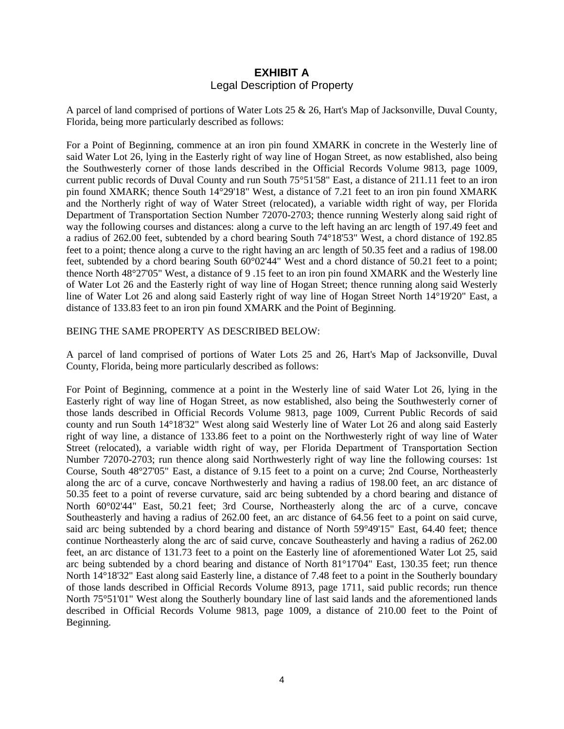## **EXHIBIT A** Legal Description of Property

A parcel of land comprised of portions of Water Lots 25 & 26, Hart's Map of Jacksonville, Duval County, Florida, being more particularly described as follows:

For a Point of Beginning, commence at an iron pin found XMARK in concrete in the Westerly line of said Water Lot 26, lying in the Easterly right of way line of Hogan Street, as now established, also being the Southwesterly corner of those lands described in the Official Records Volume 9813, page 1009, current public records of Duval County and run South 75°51'58" East, a distance of 211.11 feet to an iron pin found XMARK; thence South 14°29'18" West, a distance of 7.21 feet to an iron pin found XMARK and the Northerly right of way of Water Street (relocated), a variable width right of way, per Florida Department of Transportation Section Number 72070-2703; thence running Westerly along said right of way the following courses and distances: along a curve to the left having an arc length of 197.49 feet and a radius of 262.00 feet, subtended by a chord bearing South 74°18'53" West, a chord distance of 192.85 feet to a point; thence along a curve to the right having an arc length of 50.35 feet and a radius of 198.00 feet, subtended by a chord bearing South 60°02'44" West and a chord distance of 50.21 feet to a point; thence North 48°27'05" West, a distance of 9 .15 feet to an iron pin found XMARK and the Westerly line of Water Lot 26 and the Easterly right of way line of Hogan Street; thence running along said Westerly line of Water Lot 26 and along said Easterly right of way line of Hogan Street North 14°19'20" East, a distance of 133.83 feet to an iron pin found XMARK and the Point of Beginning.

#### BEING THE SAME PROPERTY AS DESCRIBED BELOW:

A parcel of land comprised of portions of Water Lots 25 and 26, Hart's Map of Jacksonville, Duval County, Florida, being more particularly described as follows:

For Point of Beginning, commence at a point in the Westerly line of said Water Lot 26, lying in the Easterly right of way line of Hogan Street, as now established, also being the Southwesterly corner of those lands described in Official Records Volume 9813, page 1009, Current Public Records of said county and run South 14°18'32" West along said Westerly line of Water Lot 26 and along said Easterly right of way line, a distance of 133.86 feet to a point on the Northwesterly right of way line of Water Street (relocated), a variable width right of way, per Florida Department of Transportation Section Number 72070-2703; run thence along said Northwesterly right of way line the following courses: 1st Course, South 48°27'05" East, a distance of 9.15 feet to a point on a curve; 2nd Course, Northeasterly along the arc of a curve, concave Northwesterly and having a radius of 198.00 feet, an arc distance of 50.35 feet to a point of reverse curvature, said arc being subtended by a chord bearing and distance of North 60°02'44" East, 50.21 feet; 3rd Course, Northeasterly along the arc of a curve, concave Southeasterly and having a radius of 262.00 feet, an arc distance of 64.56 feet to a point on said curve, said arc being subtended by a chord bearing and distance of North 59°49'15" East, 64.40 feet; thence continue Northeasterly along the arc of said curve, concave Southeasterly and having a radius of 262.00 feet, an arc distance of 131.73 feet to a point on the Easterly line of aforementioned Water Lot 25, said arc being subtended by a chord bearing and distance of North 81°17'04" East, 130.35 feet; run thence North 14°18'32" East along said Easterly line, a distance of 7.48 feet to a point in the Southerly boundary of those lands described in Official Records Volume 8913, page 1711, said public records; run thence North 75°51'01" West along the Southerly boundary line of last said lands and the aforementioned lands described in Official Records Volume 9813, page 1009, a distance of 210.00 feet to the Point of Beginning.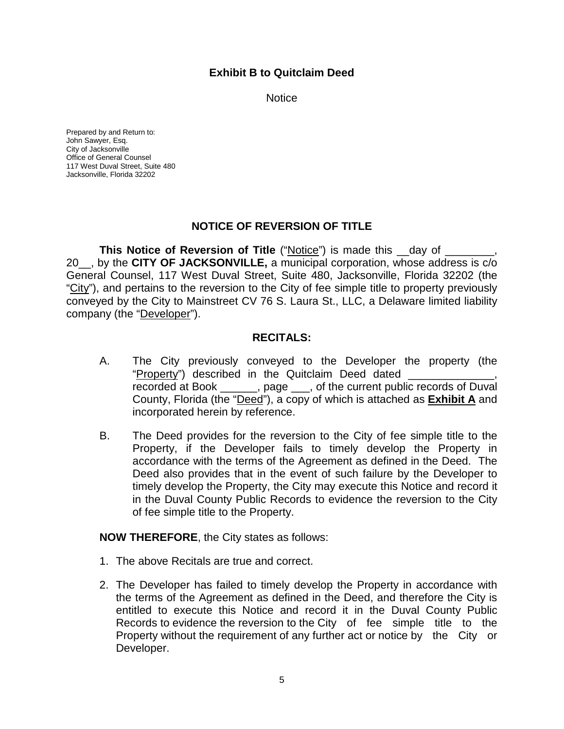## **Exhibit B to Quitclaim Deed**

**Notice** 

Prepared by and Return to: John Sawyer, Esq. City of Jacksonville Office of General Counsel 117 West Duval Street, Suite 480 Jacksonville, Florida 32202

## **NOTICE OF REVERSION OF TITLE**

**This Notice of Reversion of Title ("Notice") is made this \_\_day of \_\_\_\_\_\_\_\_\_\_\_\_** 20\_\_, by the **CITY OF JACKSONVILLE,** a municipal corporation, whose address is c/o General Counsel, 117 West Duval Street, Suite 480, Jacksonville, Florida 32202 (the "City"), and pertains to the reversion to the City of fee simple title to property previously conveyed by the City to Mainstreet CV 76 S. Laura St., LLC, a Delaware limited liability company (the "Developer").

#### **RECITALS:**

- A. The City previously conveyed to the Developer the property (the "Property") described in the Quitclaim Deed dated recorded at Book \_\_\_\_\_\_, page \_\_\_, of the current public records of Duval County, Florida (the "Deed"), a copy of which is attached as **Exhibit A** and incorporated herein by reference.
- B. The Deed provides for the reversion to the City of fee simple title to the Property, if the Developer fails to timely develop the Property in accordance with the terms of the Agreement as defined in the Deed. The Deed also provides that in the event of such failure by the Developer to timely develop the Property, the City may execute this Notice and record it in the Duval County Public Records to evidence the reversion to the City of fee simple title to the Property.

#### **NOW THEREFORE**, the City states as follows:

- 1. The above Recitals are true and correct.
- 2. The Developer has failed to timely develop the Property in accordance with the terms of the Agreement as defined in the Deed, and therefore the City is entitled to execute this Notice and record it in the Duval County Public Records to evidence the reversion to the City of fee simple title to the Property without the requirement of any further act or notice by the City or Developer.